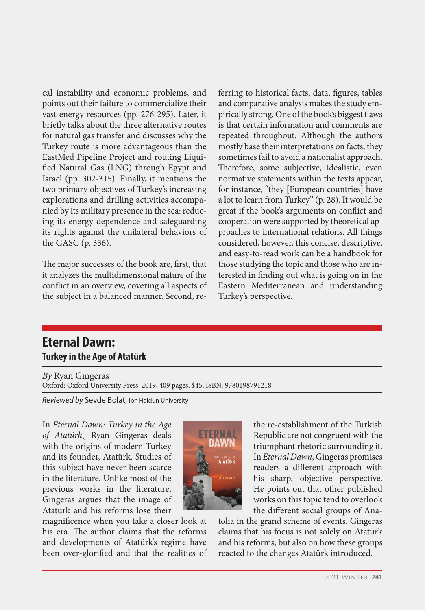cal instability and economic problems, and points out their failure to commercialize their vast energy resources (pp. 276-295). Later, it briefly talks about the three alternative routes for natural gas transfer and discusses why the Turkey route is more advantageous than the EastMed Pipeline Project and routing Liquified Natural Gas (LNG) through Egypt and Israel (pp. 302-315). Finally, it mentions the two primary objectives of Turkey's increasing explorations and drilling activities accompanied by its military presence in the sea: reducing its energy dependence and safeguarding its rights against the unilateral behaviors of the GASC (p. 336).

The major successes of the book are, first, that it analyzes the multidimensional nature of the conflict in an overview, covering all aspects of the subject in a balanced manner. Second, referring to historical facts, data, figures, tables and comparative analysis makes the study empirically strong. One of the book's biggest flaws is that certain information and comments are repeated throughout. Although the authors mostly base their interpretations on facts, they sometimes fail to avoid a nationalist approach. Therefore, some subjective, idealistic, even normative statements within the texts appear, for instance, "they [European countries] have a lot to learn from Turkey" (p. 28). It would be great if the book's arguments on conflict and cooperation were supported by theoretical approaches to international relations. All things considered, however, this concise, descriptive, and easy-to-read work can be a handbook for those studying the topic and those who are interested in finding out what is going on in the Eastern Mediterranean and understanding Turkey's perspective.

## **Eternal Dawn: Turkey in the Age of Atatürk**

*By* Ryan Gingeras Oxford: Oxford University Press, 2019, 409 pages, \$45, ISBN: 9780198791218

*Reviewed by* Sevde Bolat, Ibn Haldun University

In *Eternal Dawn: Turkey in the Age of Atatürk*¸ Ryan Gingeras deals with the origins of modern Turkey and its founder, Atatürk. Studies of this subject have never been scarce in the literature. Unlike most of the previous works in the literature, Gingeras argues that the image of Atatürk and his reforms lose their





the re-establishment of the Turkish Republic are not congruent with the triumphant rhetoric surrounding it. In *Eternal Dawn*, Gingeras promises readers a different approach with his sharp, objective perspective. He points out that other published works on this topic tend to overlook the different social groups of Ana-

tolia in the grand scheme of events. Gingeras claims that his focus is not solely on Atatürk and his reforms, but also on how these groups reacted to the changes Atatürk introduced.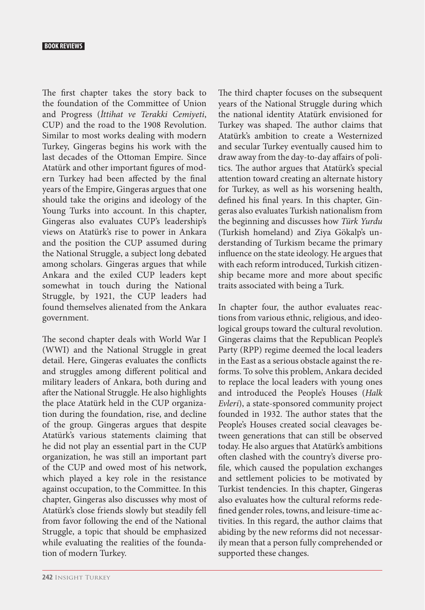## **BOOK REVIEWS**

The first chapter takes the story back to the foundation of the Committee of Union and Progress (*İttihat ve Terakki Cemiyeti*, CUP) and the road to the 1908 Revolution. Similar to most works dealing with modern Turkey, Gingeras begins his work with the last decades of the Ottoman Empire. Since Atatürk and other important figures of modern Turkey had been affected by the final years of the Empire, Gingeras argues that one should take the origins and ideology of the Young Turks into account. In this chapter, Gingeras also evaluates CUP's leadership's views on Atatürk's rise to power in Ankara and the position the CUP assumed during the National Struggle, a subject long debated among scholars. Gingeras argues that while Ankara and the exiled CUP leaders kept somewhat in touch during the National Struggle, by 1921, the CUP leaders had found themselves alienated from the Ankara government.

The second chapter deals with World War I (WWI) and the National Struggle in great detail. Here, Gingeras evaluates the conflicts and struggles among different political and military leaders of Ankara, both during and after the National Struggle. He also highlights the place Atatürk held in the CUP organization during the foundation, rise, and decline of the group. Gingeras argues that despite Atatürk's various statements claiming that he did not play an essential part in the CUP organization, he was still an important part of the CUP and owed most of his network, which played a key role in the resistance against occupation, to the Committee. In this chapter, Gingeras also discusses why most of Atatürk's close friends slowly but steadily fell from favor following the end of the National Struggle, a topic that should be emphasized while evaluating the realities of the foundation of modern Turkey.

The third chapter focuses on the subsequent years of the National Struggle during which the national identity Atatürk envisioned for Turkey was shaped. The author claims that Atatürk's ambition to create a Westernized and secular Turkey eventually caused him to draw away from the day-to-day affairs of politics. The author argues that Atatürk's special attention toward creating an alternate history for Turkey, as well as his worsening health, defined his final years. In this chapter, Gingeras also evaluates Turkish nationalism from the beginning and discusses how *Türk Yurdu* (Turkish homeland) and Ziya Gökalp's understanding of Turkism became the primary influence on the state ideology. He argues that with each reform introduced, Turkish citizenship became more and more about specific traits associated with being a Turk.

In chapter four, the author evaluates reactions from various ethnic, religious, and ideological groups toward the cultural revolution. Gingeras claims that the Republican People's Party (RPP) regime deemed the local leaders in the East as a serious obstacle against the reforms. To solve this problem, Ankara decided to replace the local leaders with young ones and introduced the People's Houses (*Halk Evleri*), a state-sponsored community project founded in 1932. The author states that the People's Houses created social cleavages between generations that can still be observed today. He also argues that Atatürk's ambitions often clashed with the country's diverse profile, which caused the population exchanges and settlement policies to be motivated by Turkist tendencies. In this chapter, Gingeras also evaluates how the cultural reforms redefined gender roles, towns, and leisure-time activities. In this regard, the author claims that abiding by the new reforms did not necessarily mean that a person fully comprehended or supported these changes.